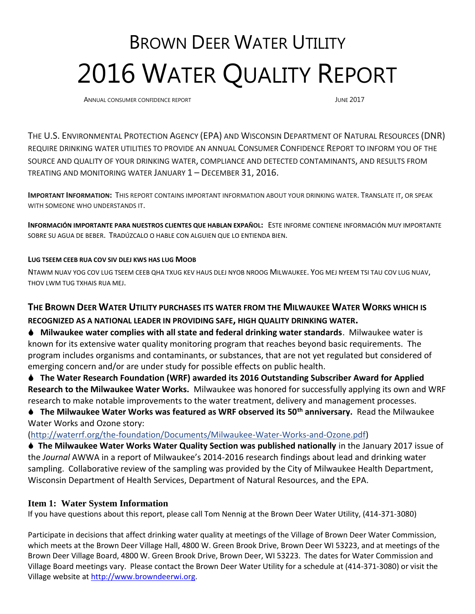# BROWN DEER WATER UTILITY 2016 WATER QUALITY REPORT

ANNUAL CONSUMER CONFIDENCE REPORT **ANNUAL CONSUMER CONFIDENCE** REPORT

THE U.S. ENVIRONMENTAL PROTECTION AGENCY (EPA) AND WISCONSIN DEPARTMENT OF NATURAL RESOURCES (DNR) REQUIRE DRINKING WATER UTILITIES TO PROVIDE AN ANNUAL CONSUMER CONFIDENCE REPORT TO INFORM YOU OF THE SOURCE AND QUALITY OF YOUR DRINKING WATER, COMPLIANCE AND DETECTED CONTAMINANTS, AND RESULTS FROM TREATING AND MONITORING WATER JANUARY 1 – DECEMBER 31, 2016.

**IMPORTANT INFORMATION:** THIS REPORT CONTAINS IMPORTANT INFORMATION ABOUT YOUR DRINKING WATER. TRANSLATE IT, OR SPEAK WITH SOMEONE WHO UNDERSTANDS IT.

**INFORMACIÓN IMPORTANTE PARA NUESTROS CLIENTES QUE HABLAN EXPAÑOL:** ESTE INFORME CONTIENE INFORMACIÓN MUY IMPORTANTE SOBRE SU AGUA DE BEBER. TRADÚZCALO O HABLE CON ALGUIEN QUE LO ENTIENDA BIEN.

# **LUG TSEEM CEEB RUA COV SIV DLEJ KWS HAS LUG MOOB**

NTAWM NUAV YOG COV LUG TSEEM CEEB QHA TXUG KEV HAUS DLEJ NYOB NROOG MILWAUKEE. YOG MEJ NYEEM TSI TAU COV LUG NUAV, THOV LWM TUG TXHAIS RUA MEJ.

# **THE BROWN DEER WATER UTILITY PURCHASES ITS WATER FROM THE MILWAUKEE WATER WORKS WHICH IS**

**RECOGNIZED AS A NATIONAL LEADER IN PROVIDING SAFE, HIGH QUALITY DRINKING WATER.** 

- **Milwaukee water complies with all state and federal drinking water standards**. Milwaukee water is known for its extensive water quality monitoring program that reaches beyond basic requirements. The program includes organisms and contaminants, or substances, that are not yet regulated but considered of emerging concern and/or are under study for possible effects on public health.
- **The Water Research Foundation (WRF) awarded its 2016 Outstanding Subscriber Award for Applied Research to the Milwaukee Water Works.** Milwaukee was honored for successfully applying its own and WRF research to make notable improvements to the water treatment, delivery and management processes.
- **The Milwaukee Water Works was featured as WRF observed its 50th anniversary.** Read the Milwaukee Water Works and Ozone story:

[\(http://waterrf.org/the-foundation/Documents/Milwaukee-Water-Works-and-Ozone.pdf\)](http://waterrf.org/the-foundation/Documents/Milwaukee-Water-Works-and-Ozone.pdf)

 **The Milwaukee Water Works Water Quality Section was published nationally** in the January 2017 issue of the *Journal* AWWA in a report of Milwaukee's 2014-2016 research findings about lead and drinking water sampling. Collaborative review of the sampling was provided by the City of Milwaukee Health Department, Wisconsin Department of Health Services, Department of Natural Resources, and the EPA.

# **Item 1: Water System Information**

If you have questions about this report, please call Tom Nennig at the Brown Deer Water Utility, (414-371-3080)

Participate in decisions that affect drinking water quality at meetings of the Village of Brown Deer Water Commission, which meets at the Brown Deer Village Hall, 4800 W. Green Brook Drive, Brown Deer WI 53223, and at meetings of the Brown Deer Village Board, 4800 W. Green Brook Drive, Brown Deer, WI 53223. The dates for Water Commission and Village Board meetings vary. Please contact the Brown Deer Water Utility for a schedule at (414-371-3080) or visit the Village website at [http://www.browndeerwi.org.](http://www.browndeerwi.org/)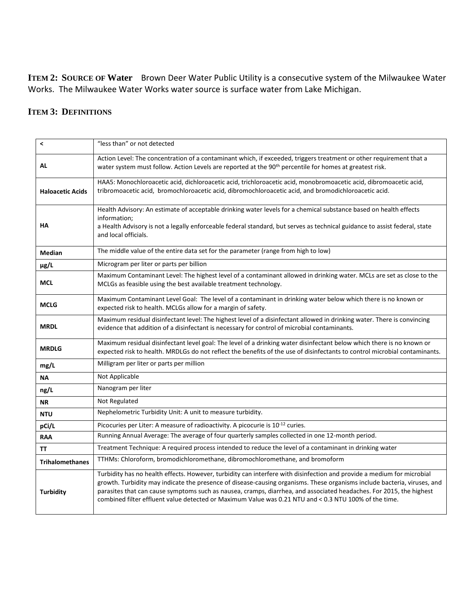**ITEM 2: SOURCE OF Water** Brown Deer Water Public Utility is a consecutive system of the Milwaukee Water Works. The Milwaukee Water Works water source is surface water from Lake Michigan.

# **ITEM 3: DEFINITIONS**

| $\hat{\phantom{a}}$     | "less than" or not detected                                                                                                                                                                                                                                                                                                                                                                                                                                                        |
|-------------------------|------------------------------------------------------------------------------------------------------------------------------------------------------------------------------------------------------------------------------------------------------------------------------------------------------------------------------------------------------------------------------------------------------------------------------------------------------------------------------------|
| AL                      | Action Level: The concentration of a contaminant which, if exceeded, triggers treatment or other requirement that a<br>water system must follow. Action Levels are reported at the 90 <sup>th</sup> percentile for homes at greatest risk.                                                                                                                                                                                                                                         |
| <b>Haloacetic Acids</b> | HAA5: Monochloroacetic acid, dichloroacetic acid, trichloroacetic acid, monobromoacetic acid, dibromoacetic acid,<br>tribromoacetic acid, bromochloroacetic acid, dibromochloroacetic acid, and bromodichloroacetic acid.                                                                                                                                                                                                                                                          |
| <b>HA</b>               | Health Advisory: An estimate of acceptable drinking water levels for a chemical substance based on health effects<br>information;<br>a Health Advisory is not a legally enforceable federal standard, but serves as technical guidance to assist federal, state<br>and local officials.                                                                                                                                                                                            |
| <b>Median</b>           | The middle value of the entire data set for the parameter (range from high to low)                                                                                                                                                                                                                                                                                                                                                                                                 |
| µg/L                    | Microgram per liter or parts per billion                                                                                                                                                                                                                                                                                                                                                                                                                                           |
| <b>MCL</b>              | Maximum Contaminant Level: The highest level of a contaminant allowed in drinking water. MCLs are set as close to the<br>MCLGs as feasible using the best available treatment technology.                                                                                                                                                                                                                                                                                          |
| <b>MCLG</b>             | Maximum Contaminant Level Goal: The level of a contaminant in drinking water below which there is no known or<br>expected risk to health. MCLGs allow for a margin of safety.                                                                                                                                                                                                                                                                                                      |
| <b>MRDL</b>             | Maximum residual disinfectant level: The highest level of a disinfectant allowed in drinking water. There is convincing<br>evidence that addition of a disinfectant is necessary for control of microbial contaminants.                                                                                                                                                                                                                                                            |
| <b>MRDLG</b>            | Maximum residual disinfectant level goal: The level of a drinking water disinfectant below which there is no known or<br>expected risk to health. MRDLGs do not reflect the benefits of the use of disinfectants to control microbial contaminants.                                                                                                                                                                                                                                |
| mg/L                    | Milligram per liter or parts per million                                                                                                                                                                                                                                                                                                                                                                                                                                           |
| <b>NA</b>               | Not Applicable                                                                                                                                                                                                                                                                                                                                                                                                                                                                     |
| ng/L                    | Nanogram per liter                                                                                                                                                                                                                                                                                                                                                                                                                                                                 |
| ΝR                      | Not Regulated                                                                                                                                                                                                                                                                                                                                                                                                                                                                      |
| <b>NTU</b>              | Nephelometric Turbidity Unit: A unit to measure turbidity.                                                                                                                                                                                                                                                                                                                                                                                                                         |
| pCi/L                   | Picocuries per Liter: A measure of radioactivity. A picocurie is 10-12 curies.                                                                                                                                                                                                                                                                                                                                                                                                     |
| <b>RAA</b>              | Running Annual Average: The average of four quarterly samples collected in one 12-month period.                                                                                                                                                                                                                                                                                                                                                                                    |
| TΤ                      | Treatment Technique: A required process intended to reduce the level of a contaminant in drinking water                                                                                                                                                                                                                                                                                                                                                                            |
| <b>Trihalomethanes</b>  | TTHMs: Chloroform, bromodichloromethane, dibromochloromethane, and bromoform                                                                                                                                                                                                                                                                                                                                                                                                       |
| <b>Turbidity</b>        | Turbidity has no health effects. However, turbidity can interfere with disinfection and provide a medium for microbial<br>growth. Turbidity may indicate the presence of disease-causing organisms. These organisms include bacteria, viruses, and<br>parasites that can cause symptoms such as nausea, cramps, diarrhea, and associated headaches. For 2015, the highest<br>combined filter effluent value detected or Maximum Value was 0.21 NTU and < 0.3 NTU 100% of the time. |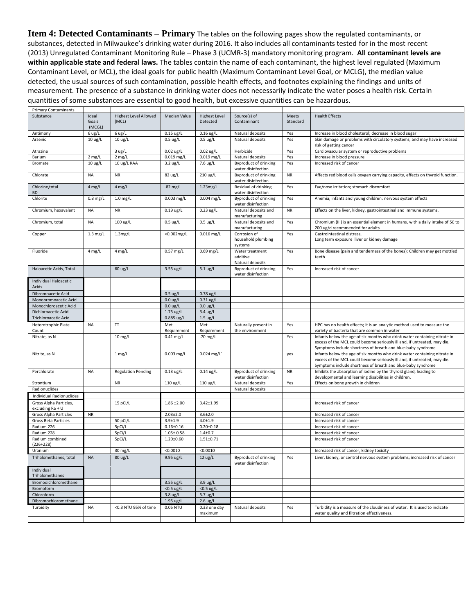**Item 4: Detected Contaminants – Primary** The tables on the following pages show the regulated contaminants, or substances, detected in Milwaukee's drinking water during 2016. It also includes all contaminants tested for in the most recent (2013) Unregulated Contaminant Monitoring Rule – Phase 3 (UCMR-3) mandatory monitoring program. **All contaminant levels are within applicable state and federal laws.** The tables contain the name of each contaminant, the highest level regulated (Maximum Contaminant Level, or MCL), the ideal goals for public health (Maximum Contaminant Level Goal, or MCLG), the median value detected, the usual sources of such contamination, possible health effects, and footnotes explaining the findings and units of measurement. The presence of a substance in drinking water does not necessarily indicate the water poses a health risk. Certain quantities of some substances are essential to good health, but excessive quantities can be hazardous.

| <b>Primary Contaminants</b>                               |                   |                                       |                            |                                  |                                                    |                   |                                                                                                                                                                                                                      |
|-----------------------------------------------------------|-------------------|---------------------------------------|----------------------------|----------------------------------|----------------------------------------------------|-------------------|----------------------------------------------------------------------------------------------------------------------------------------------------------------------------------------------------------------------|
| Substance                                                 | Ideal<br>Goals    | <b>Highest Level Allowed</b><br>(MCL) | <b>Median Value</b>        | <b>Highest Level</b><br>Detected | Source(s) of<br>Contaminant                        | Meets<br>Standard | <b>Health Effects</b>                                                                                                                                                                                                |
|                                                           | (MCGL)            |                                       |                            |                                  |                                                    |                   |                                                                                                                                                                                                                      |
| Antimony                                                  | $6 \text{ ug/L}$  | 6 ug/L                                | $0.15$ ug/L                | $0.16$ ug/L                      | Natural deposits                                   | Yes               | Increase in blood cholesterol; decrease in blood sugar                                                                                                                                                               |
| Arsenic                                                   | $10 \text{ ug/L}$ | $10 \text{ ug/L}$                     | $0.5 \text{ ug/L}$         | $0.5$ ug/L                       | Natural deposits                                   | Yes               | Skin damage or problems with circulatory systems, and may have increased<br>risk of getting cancer                                                                                                                   |
| Atrazine                                                  |                   | 3 ug/L                                | $0.02$ ug/L                | $0.02$ ug/L                      | Herbicide                                          | Yes               | Cardiovascular system or reproductive problems                                                                                                                                                                       |
| Barium                                                    | $2$ mg/L          | $2$ mg/L                              | $0.019$ mg/L               | $0.019$ mg/L                     | Natural deposits                                   | Yes               | Increase in blood pressure                                                                                                                                                                                           |
| Bromate                                                   | $10 \text{ ug/L}$ | 10 ug/L RAA                           | $3.2 \text{ ug/L}$         | 7.6 ug/L                         | <b>Byproduct of drinking</b><br>water disinfection | Yes               | Increased risk of cancer                                                                                                                                                                                             |
| Chlorate                                                  | <b>NA</b>         | <b>NR</b>                             | 82 ug/L                    | 210 ug/L                         | <b>Byproduct of drinking</b><br>water disinfection | <b>NR</b>         | Affects red blood cells oxygen carrying capacity, effects on thyroid function.                                                                                                                                       |
| Chlorine, total<br><b>BD</b>                              | $4$ mg/L          | $4$ mg/L                              | $.82$ mg/L                 | 1.23mg/L                         | Residual of drinking<br>water disinfection         | Yes               | Eye/nose irritation; stomach discomfort                                                                                                                                                                              |
| Chlorite                                                  | $0.8$ mg/L        | $1.0$ mg/L                            | $0.003$ mg/L               | $0.004$ mg/L                     | <b>Byproduct of drinking</b><br>water disinfection | Yes               | Anemia; infants and young children: nervous system effects                                                                                                                                                           |
| Chromium, hexavalent                                      | <b>NA</b>         | <b>NR</b>                             | $0.19$ ug/L                | $0.23$ ug/L                      | Natural deposits and<br>manufacturing              | <b>NR</b>         | Effects on the liver, kidney, gastrointestinal and immune systems.                                                                                                                                                   |
| Chromium, total                                           | <b>NA</b>         | $100 \text{ ug/L}$                    | $0.5 \text{ ug/L}$         | $0.5 \text{ ug/L}$               | Natural deposits and<br>manufacturing              | Yes               | Chromium (III) is an essential element in humans, with a daily intake of 50 to<br>200 ug/d recommended for adults                                                                                                    |
| Copper                                                    | $1.3$ mg/L        | 1.3mg/L                               | <0.002mg/L                 | $0.016$ mg/L                     | Corrosion of<br>household plumbing<br>systems      | Yes               | Gastrointestinal distress,<br>Long term exposure liver or kidney damage                                                                                                                                              |
| Fluoride                                                  | 4 mg/L            | $4$ mg/L                              | $0.57$ mg/L                | $0.69$ mg/L                      | Water treatment<br>additive<br>Natural deposits    | Yes               | Bone disease (pain and tenderness of the bones); Children may get mottled<br>teeth                                                                                                                                   |
| Haloacetic Acids, Total                                   |                   | 60 ug/L                               | 3.55 ug/L                  | $5.1$ ug/L                       | Byproduct of drinking<br>water disinfection        | Yes               | Increased risk of cancer                                                                                                                                                                                             |
| Individual Haloacetic<br>Acids                            |                   |                                       |                            |                                  |                                                    |                   |                                                                                                                                                                                                                      |
| Dibromoacetic Acid                                        |                   |                                       | $0.5 \text{ ug/L}$         | $0.78$ ug/L                      |                                                    |                   |                                                                                                                                                                                                                      |
| Monobromoacetic Acid                                      |                   |                                       | $0.0 \text{ ug/L}$         | $0.31$ ug/L                      |                                                    |                   |                                                                                                                                                                                                                      |
| Monochloroacetic Acid                                     |                   |                                       | $0.0 \text{ ug/L}$         | $0.0 \text{ ug/L}$               |                                                    |                   |                                                                                                                                                                                                                      |
| Dichloroacetic Acid                                       |                   |                                       | $1.75$ ug/L                | $3.4 \text{ ug/L}$               |                                                    |                   |                                                                                                                                                                                                                      |
| Trichloroacetic Acid                                      |                   |                                       | 0.885 ug/L                 | $1.5 \text{ ug/L}$               |                                                    |                   |                                                                                                                                                                                                                      |
|                                                           |                   |                                       |                            |                                  |                                                    |                   |                                                                                                                                                                                                                      |
| <b>Heterotrophic Plate</b>                                | <b>NA</b>         | T                                     | Met                        | Met                              | Naturally present in                               | Yes               | HPC has no health effects; it is an analytic method used to measure the<br>variety of bacteria that are common in water                                                                                              |
| Count<br>Nitrate, as N                                    |                   | $10$ mg/L                             | Requirement<br>$0.41$ mg/L | Requirement<br>.70 mg/L          | the environment                                    | Yes               | Infants below the age of six months who drink water containing nitrate in<br>excess of the MCL could become seriously ill and, if untreated, may die.                                                                |
| Nitrite, as N                                             |                   | $1$ mg/L                              | $0.003$ mg/L               | $0.024$ mg/L                     |                                                    | yes               | Symptoms include shortness of breath and blue-baby syndrome<br>Infants below the age of six months who drink water containing nitrate in<br>excess of the MCL could become seriously ill and, if untreated, may die. |
| Perchlorate                                               | <b>NA</b>         | <b>Regulation Pending</b>             | $0.13$ ug/L                | $0.14$ ug/L                      | Byproduct of drinking                              | <b>NR</b>         | Symptoms include shortness of breath and blue-baby syndrome<br>Inhibits the absorption of iodine by the thyroid gland, leading to                                                                                    |
|                                                           |                   | <b>NR</b>                             |                            |                                  | water disinfection                                 |                   | developmental and learning disabilities in children.                                                                                                                                                                 |
| Strontium<br>Radionuclides                                |                   |                                       | 110 ug/L                   | 110 ug/L                         | Natural deposits<br>Natural deposits               | Yes               | Effects on bone growth in children                                                                                                                                                                                   |
|                                                           |                   |                                       |                            |                                  |                                                    |                   |                                                                                                                                                                                                                      |
| <b>Individual Radionuclides</b><br>Gross Alpha Particles, |                   | 15 pCi/L                              | $1.86 \pm 2.00$            | $3.42 \pm 1.99$                  |                                                    |                   | Increased risk of cancer                                                                                                                                                                                             |
| excluding Ra + U<br><b>Gross Alpha Particles</b>          | <b>NR</b>         |                                       | $2.03 \pm 2.0$             | $3.6 \pm 2.0$                    |                                                    |                   | Increased risk of cancer                                                                                                                                                                                             |
| Gross Beta Particles                                      |                   | 50 pCi/L                              | $3.9 + 1.9$                | $4.0 + 1.9$                      |                                                    |                   | Increased risk of cancer                                                                                                                                                                                             |
| Radium 226                                                |                   | 5pCi/L                                | $0.16 + 0.16$              | $0.20 \pm 0.18$                  |                                                    |                   | Increased risk of cancer                                                                                                                                                                                             |
| Radium 228                                                |                   | 5pCi/L                                | $1.05 \pm 0.58$            | $1.4 + 0.7$                      |                                                    |                   | Increased risk of cancer                                                                                                                                                                                             |
| Radium combined<br>$(226+228)$                            |                   | 5pCi/L                                | $1.20 \pm 0.60$            | $1.51 \pm 0.71$                  |                                                    |                   | Increased risk of cancer                                                                                                                                                                                             |
| Uranium                                                   |                   | 30 mg/L                               | < 0.0010                   | < 0.0010                         |                                                    |                   | Increased risk of cancer, kidney toxicity                                                                                                                                                                            |
| Trihalomethanes, total                                    | <b>NA</b>         | 80 ug/L                               | 9.95 ug/L                  | $12 \text{ ug/L}$                | Byproduct of drinking<br>water disinfection        | Yes               | Liver, kidney, or central nervous system problems; increased risk of cancer                                                                                                                                          |
| Individual<br>Trihalomethanes                             |                   |                                       |                            |                                  |                                                    |                   |                                                                                                                                                                                                                      |
| Bromodichloromethane                                      |                   |                                       | 3.55 ug/L                  | $3.9 \text{ ug/L}$               |                                                    |                   |                                                                                                                                                                                                                      |
| Bromoform                                                 |                   |                                       | $<$ 0.5 ug/L               | $<$ 0.5 ug/L                     |                                                    |                   |                                                                                                                                                                                                                      |
| Chloroform                                                |                   |                                       | $3.8 \text{ ug/L}$         | $5.7$ ug/L                       |                                                    |                   |                                                                                                                                                                                                                      |
| Dibromochloromethane                                      |                   |                                       | 1.95 ug/L                  | $2.6 \text{ ug/L}$               |                                                    |                   |                                                                                                                                                                                                                      |
| Turbidity                                                 | <b>NA</b>         | <0.3 NTU 95% of time                  | 0.05 NTU                   | 0.33 one day<br>maximum          | Natural deposits                                   | Yes               | Turbidity is a measure of the cloudiness of water. It is used to indicate<br>water quality and filtration effectiveness.                                                                                             |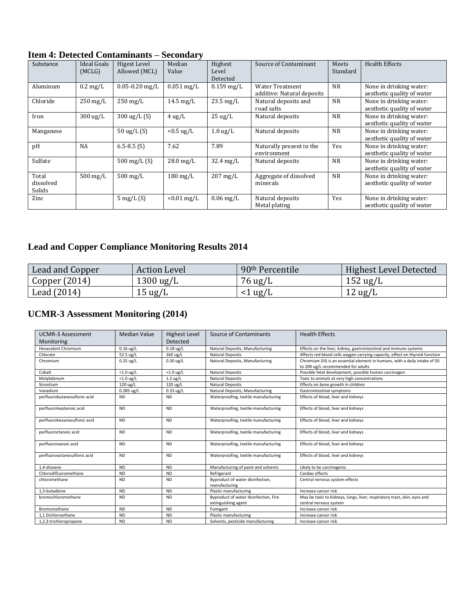| Substance                    | <b>Ideal Goals</b><br>(MCLG) | Higest Level<br>Allowed (MCL) | Median<br>Value     | Highest<br>Level<br>Detected | Source of Contaminant                                | Meets<br>Standard | <b>Health Effects</b>                                 |
|------------------------------|------------------------------|-------------------------------|---------------------|------------------------------|------------------------------------------------------|-------------------|-------------------------------------------------------|
| Aluminum                     | $0.2 \text{ mg/L}$           | $0.05 - 0.20$ mg/L            | $0.051$ mg/L        | $0.159$ mg/L                 | <b>Water Treatment</b><br>additive: Natural deposits | <b>NR</b>         | None in drinking water:<br>aesthetic quality of water |
| Chloride                     | $250 \text{ mg/L}$           | $250 \,\mathrm{mg/L}$         | $14.5 \text{ mg/L}$ | $23.5 \text{ mg/L}$          | Natural deposits and<br>road salts                   | <b>NR</b>         | None in drinking water:<br>aesthetic quality of water |
| Iron                         | $300 \text{ ug/L}$           | $300 \text{ ug/L} (S)$        | $4 \text{ ug/L}$    | $25 \text{ ug/L}$            | Natural deposits                                     | <b>NR</b>         | None in drinking water:<br>aesthetic quality of water |
| Manganese                    |                              | $50 \text{ ug/L}$ (S)         | $< 0.5$ ug/L        | $1.0 \text{ ug/L}$           | Natural deposits                                     | <b>NR</b>         | None in drinking water:<br>aesthetic quality of water |
| pH                           | <b>NA</b>                    | $6.5 - 8.5$ (S)               | 7.62                | 7.89                         | Naturally present in the<br>environment              | Yes               | None in drinking water:<br>aesthetic quality of water |
| Sulfate                      |                              | 500 mg/L $(S)$                | $28.0 \text{ mg/L}$ | $32.4 \text{ mg/L}$          | Natural deposits                                     | <b>NR</b>         | None in drinking water:<br>aesthetic quality of water |
| Total<br>dissolved<br>Solids | $500 \,\mathrm{mg/L}$        | $500 \,\mathrm{mg/L}$         | $180 \text{ mg/L}$  | $207 \text{ mg/L}$           | Aggregate of dissolved<br>minerals                   | <b>NR</b>         | None in drinking water:<br>aesthetic quality of water |
| Zinc                         |                              | $5 \text{ mg/L}$ (S)          | $< 0.01$ mg/L       | $0.06$ mg/L                  | Natural deposits<br>Metal plating                    | Yes               | None in drinking water:<br>aesthetic quality of water |

# **Item 4: Detected Contaminants – Secondary**

# **Lead and Copper Compliance Monitoring Results 2014**

| Lead and Copper | Action Level        | 90 <sup>th</sup> Percentile | Highest Level Detected |
|-----------------|---------------------|-----------------------------|------------------------|
| Copper $(2014)$ | $1300 \text{ ug/L}$ | 76 ug/L                     | $152 \text{ ug/L}$     |
| Lead (2014)     | $15 \text{ ug/L}$   | $<$ 1 ug/L                  | $12 \text{ ug/L}$      |

# **UCMR-3 Assessment Monitoring (2014)**

| <b>UCMR-3 Assessment</b><br>Monitoring | Median Value | <b>Highest Level</b><br>Detected | Source of Contaminants                                       | <b>Health Effects</b>                                                                                             |
|----------------------------------------|--------------|----------------------------------|--------------------------------------------------------------|-------------------------------------------------------------------------------------------------------------------|
|                                        |              |                                  |                                                              |                                                                                                                   |
| <b>Hexavalent Chromium</b>             | $0.16$ ug/L  | $0.18$ ug/L                      | Natural Deposits, Manufacturing                              | Effects on the liver, kidney, gastrointestinal and immune systems                                                 |
| Chlorate                               | 52.5 ug/L    | $160 \text{ ug/L}$               | <b>Natural Deposits</b>                                      | Affects red blood cells oxygen carrying capacity, effect on thyroid function                                      |
| Chromium                               | $0.25$ ug/L  | $0.30 \text{ ug/L}$              | Natural Deposits, Manufacturing                              | Chromium (III) is an essential element in humans, with a daily intake of 50<br>to 200 ug/L recommended for adults |
| Cobalt                                 | $<$ 1.0 ug/L | $<$ 1.0 ug/L                     | <b>Natural Deposits</b>                                      | Possible fetal development, possible human carcinogen                                                             |
| Molybdenum                             | $<$ 1.0 ug/L | $1.2 \text{ ug/L}$               | <b>Natural Deposits</b>                                      | Toxic to animals at very high concentrations                                                                      |
| Strontium                              | 120 ug/L     | 120 ug/L                         | Natural Deposits                                             | Effects on bone growth in children                                                                                |
| Vanadium                               | $0.285$ ug/L | $0.33 \text{ ug/L}$              | Natural Deposits, Manufacturing                              | Gastrointestinal symptoms                                                                                         |
| perfluorobutanesulfonic acid           | <b>ND</b>    | <b>ND</b>                        | Waterproofing, textile manufacturing                         | Effects of blood, liver and kidneys                                                                               |
| perfluoroheptanoic acid                | <b>ND</b>    | <b>ND</b>                        | Waterproofing, textile manufacturing                         | Effects of blood, liver and kidneys                                                                               |
| perfluorohexanesulfonic acid           | <b>ND</b>    | <b>ND</b>                        | Waterproofing, textile manufacturing                         | Effects of blood, liver and kidneys                                                                               |
| perfluoroctanoic acid                  | <b>ND</b>    | <b>ND</b>                        | Waterproofing, textile manufacturing                         | Effects of blood, liver and kidneys                                                                               |
| perfluoronanoic acid                   | <b>ND</b>    | <b>ND</b>                        | Waterproofing, textile manufacturing                         | Effects of blood, liver and kidneys                                                                               |
| perfluorooctanesulfonic acid           | <b>ND</b>    | <b>ND</b>                        | Waterproofing, textile manufacturing                         | Effects of blood, liver and kidneys                                                                               |
| 1.4-dioxane                            | <b>ND</b>    | <b>ND</b>                        | Manufacturing of paint and solvents                          | Likely to be carcinogenic                                                                                         |
| Chlorodifluoromethane                  | <b>ND</b>    | <b>ND</b>                        | Refrigerant                                                  | Cardiac effects                                                                                                   |
| chloromethane                          | <b>ND</b>    | <b>ND</b>                        | Byproduct of water disinfection,<br>manufacturing            | Central nervous system effects                                                                                    |
| 1.3-butadiene                          | <b>ND</b>    | <b>ND</b>                        | Plastic manufacturing                                        | Increase cancer risk                                                                                              |
| bromochloromethane                     | <b>ND</b>    | <b>ND</b>                        | Byproduct of water disinfection, Fire<br>extinguishing agent | May be toxic to kidneys, lungs, liver, respiratory tract, skin, eyes and<br>central nervous system                |
| Bromomethane                           | <b>ND</b>    | <b>ND</b>                        | Fumigant                                                     | Increase cancer risk                                                                                              |
| 1,1 Dichloroethane                     | <b>ND</b>    | <b>ND</b>                        | Plastic manufacturing                                        | Increase cancer risk                                                                                              |
| 1,2,3-trichloropropane                 | <b>ND</b>    | <b>ND</b>                        | Solvents, pesticide manufacturing                            | Increase cancer risk                                                                                              |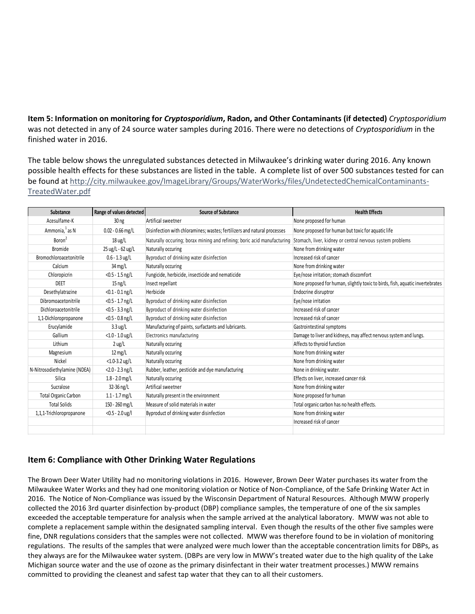**Item 5: Information on monitoring for** *Cryptosporidium***, Radon, and Other Contaminants (if detected)** *Cryptosporidium* was not detected in any of 24 source water samples during 2016. There were no detections of *Cryptosporidium* in the finished water in 2016.

The table below shows the unregulated substances detected in Milwaukee's drinking water during 2016. Any known possible health effects for these substances are listed in the table. A complete list of over 500 substances tested for can be found at [http://city.milwaukee.gov/ImageLibrary/Groups/WaterWorks/files/UndetectedChemicalContaminants-](http://city.milwaukee.gov/ImageLibrary/Groups/WaterWorks/files/UndetectedChemicalContaminants-TreatedWater.pdf)[TreatedWater.pdf](http://city.milwaukee.gov/ImageLibrary/Groups/WaterWorks/files/UndetectedChemicalContaminants-TreatedWater.pdf) 

| Substance                    | Range of values detected | <b>Source of Substance</b>                                                                                                        | <b>Health Effects</b>                                                         |
|------------------------------|--------------------------|-----------------------------------------------------------------------------------------------------------------------------------|-------------------------------------------------------------------------------|
| Acesulfame-K                 | 30 <sub>ng</sub>         | Artifical sweetner                                                                                                                | None proposed for human                                                       |
| Ammonia, <sup>1</sup> as N   | $0.02 - 0.66$ mg/L       | Disinfection with chloramines; wastes; fertilizers and natural processes                                                          | None proposed for human but toxic for aquatic life                            |
| Boron <sup>2</sup>           | $18 \text{ ug/L}$        | Naturally occuring; borax mining and refining; boric acid manufacturing Stomach, liver, kidney or central nervous system problems |                                                                               |
| <b>Bromide</b>               | 25 ug/L - 62 ug/L        | Naturally occuring                                                                                                                | None from drinking water                                                      |
| Bromochloroacetonitrile      | $0.6 - 1.3$ ug/L         | Byproduct of drinking water disinfection                                                                                          | Increased risk of cancer                                                      |
| Calcium                      | $34 \text{ mg/L}$        | Naturally occuring                                                                                                                | None from drinking water                                                      |
| Chloropicrin                 | $<$ 0.5 - 1.5 ng/L       | Fungicide, herbicide, insecticide and nematicide                                                                                  | Eye/nose irritation; stomach discomfort                                       |
| <b>DEET</b>                  | $15 \text{ ng/L}$        | Insect repellant                                                                                                                  | None proposed for human, slightly toxic to birds, fish, aquatic invertebrates |
| Desethylatrazine             | $<$ 0.1 - 0.1 ng/L       | Herbicide                                                                                                                         | Endocrine disruptror                                                          |
| Dibromoacetonitrile          | $<$ 0.5 - 1.7 ng/L       | Byproduct of drinking water disinfection                                                                                          | Eye/nose irritation                                                           |
| Dichloroacetonitrile         | $<$ 0.5 - 3.3 ng/L       | Byproduct of drinking water disinfection                                                                                          | Increased risk of cancer                                                      |
| 1,1-Dichloropropanone        | $<$ 0.5 - 0.8 ng/L       | Byproduct of drinking water disinfection                                                                                          | Increased risk of cancer                                                      |
| Erucylamide                  | $3.3 \text{ ug/L}$       | Manufacturing of paints, surfactants and lubricants.                                                                              | Gastrointestinal symptoms                                                     |
| Gallium                      | $<$ 1.0 - 1.0 ug/L       | Electronics manufacturing                                                                                                         | Damage to liver and kidneys, may affect nervous system and lungs.             |
| Lithium                      | $2 \text{ ug/L}$         | Naturally occuring                                                                                                                | Affects to thyroid function                                                   |
| Magnesium                    | $12 \text{ mg/L}$        | Naturally occuring                                                                                                                | None from drinking water                                                      |
| Nickel                       | $<$ 1.0-3.2 ug/L         | Naturally occuring                                                                                                                | None from drinking water                                                      |
| N-Nitrosodiethylamine (NDEA) | $<$ 2.0 - 2.3 ng/L       | Rubber, leather, pesticide and dye manufacturing                                                                                  | None in drinking water.                                                       |
| Silica                       | $1.8 - 2.0$ mg/L         | Naturally occuring                                                                                                                | Effects on liver, increased cancer risk                                       |
| Sucralose                    | 32-36 ng/L               | Artifical sweetner                                                                                                                | None from drinking water                                                      |
| <b>Total Organic Carbon</b>  | $1.1 - 1.7$ mg/L         | Naturally present in the environment                                                                                              | None proposed for human                                                       |
| <b>Total Solids</b>          | 150 - 260 mg/L           | Measure of solid materials in water                                                                                               | Total organic carbon has no health effects.                                   |
| 1,1,1-Trichloropropanone     | $<$ 0.5 - 2.0 ug/l       | Byproduct of drinking water disinfection                                                                                          | None from drinking water                                                      |
|                              |                          |                                                                                                                                   | Increased risk of cancer                                                      |
|                              |                          |                                                                                                                                   |                                                                               |

# **Item 6: Compliance with Other Drinking Water Regulations**

The Brown Deer Water Utility had no monitoring violations in 2016. However, Brown Deer Water purchases its water from the Milwaukee Water Works and they had one monitoring violation or Notice of Non-Compliance, of the Safe Drinking Water Act in 2016. The Notice of Non-Compliance was issued by the Wisconsin Department of Natural Resources. Although MWW properly collected the 2016 3rd quarter disinfection by-product (DBP) compliance samples, the temperature of one of the six samples exceeded the acceptable temperature for analysis when the sample arrived at the analytical laboratory. MWW was not able to complete a replacement sample within the designated sampling interval. Even though the results of the other five samples were fine, DNR regulations considers that the samples were not collected. MWW was therefore found to be in violation of monitoring regulations. The results of the samples that were analyzed were much lower than the acceptable concentration limits for DBPs, as they always are for the Milwaukee water system. (DBPs are very low in MWW's treated water due to the high quality of the Lake Michigan source water and the use of ozone as the primary disinfectant in their water treatment processes.) MWW remains committed to providing the cleanest and safest tap water that they can to all their customers.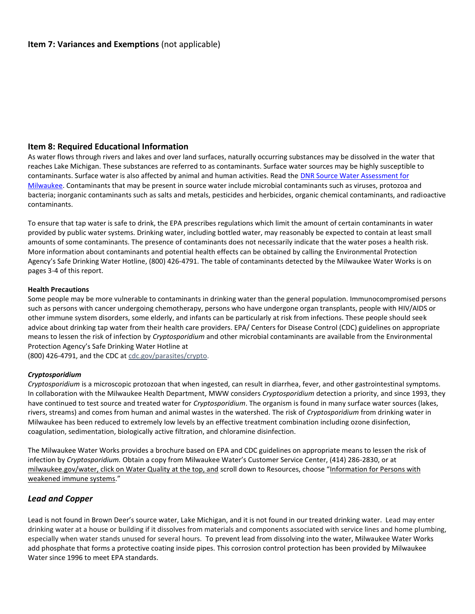## **Item 8: Required Educational Information**

As water flows through rivers and lakes and over land surfaces, naturally occurring substances may be dissolved in the water that reaches Lake Michigan. These substances are referred to as contaminants. Surface water sources may be highly susceptible to contaminants. Surface water is also affected by animal and human activities. Read the [DNR Source Water Assessment for](http://city.milwaukee.gov/ImageLibrary/Groups/WaterWorks/files/milwaukee.pdf)  [Milwaukee.](http://city.milwaukee.gov/ImageLibrary/Groups/WaterWorks/files/milwaukee.pdf) Contaminants that may be present in source water include microbial contaminants such as viruses, protozoa and bacteria; inorganic contaminants such as salts and metals, pesticides and herbicides, organic chemical contaminants, and radioactive contaminants.

To ensure that tap water is safe to drink, the EPA prescribes regulations which limit the amount of certain contaminants in water provided by public water systems. Drinking water, including bottled water, may reasonably be expected to contain at least small amounts of some contaminants. The presence of contaminants does not necessarily indicate that the water poses a health risk. More information about contaminants and potential health effects can be obtained by calling the Environmental Protection Agency's Safe Drinking Water Hotline, (800) 426-4791. The table of contaminants detected by the Milwaukee Water Works is on pages 3-4 of this report.

#### **Health Precautions**

Some people may be more vulnerable to contaminants in drinking water than the general population. Immunocompromised persons such as persons with cancer undergoing chemotherapy, persons who have undergone organ transplants, people with HIV/AIDS or other immune system disorders, some elderly, and infants can be particularly at risk from infections. These people should seek advice about drinking tap water from their health care providers. EPA/ Centers for Disease Control (CDC) guidelines on appropriate means to lessen the risk of infection by *Cryptosporidium* and other microbial contaminants are available from the Environmental Protection Agency's Safe Drinking Water Hotline at

(800) 426-4791, and the CDC a[t cdc.gov/parasites/crypto.](http://www.cdc.gov/parasites/crypto/)

## *Cryptosporidium*

*Cryptosporidium* is a microscopic protozoan that when ingested, can result in diarrhea, fever, and other gastrointestinal symptoms. In collaboration with the Milwaukee Health Department, MWW considers *Cryptosporidium* detection a priority, and since 1993, they have continued to test source and treated water for *Cryptosporidium*. The organism is found in many surface water sources (lakes, rivers, streams) and comes from human and animal wastes in the watershed. The risk of *Cryptosporidium* from drinking water in Milwaukee has been reduced to extremely low levels by an effective treatment combination including ozone disinfection, coagulation, sedimentation, biologically active filtration, and chloramine disinfection.

The Milwaukee Water Works provides a brochure based on EPA and CDC guidelines on appropriate means to lessen the risk of infection by *Cryptosporidium*. Obtain a copy from Milwaukee Water's Customer Service Center, (414) 286-2830, or at [milwaukee.gov/water,](http://milwaukee.gov/water/about/WaterQuality.htm) click on Water Quality at the top, and scroll down to Resources, choose "Information for Persons with [weakened immune systems](http://city.milwaukee.gov/ImageLibrary/Groups/WaterWorks/files/WeakImmuneSystemEng_web_910.pdf)."

## *Lead and Copper*

Lead is not found in Brown Deer's source water, Lake Michigan, and it is not found in our treated drinking water. Lead may enter drinking water at a house or building if it dissolves from materials and components associated with service lines and home plumbing, especially when water stands unused for several hours. To prevent lead from dissolving into the water, Milwaukee Water Works add phosphate that forms a protective coating inside pipes. This corrosion control protection has been provided by Milwaukee Water since 1996 to meet EPA standards.